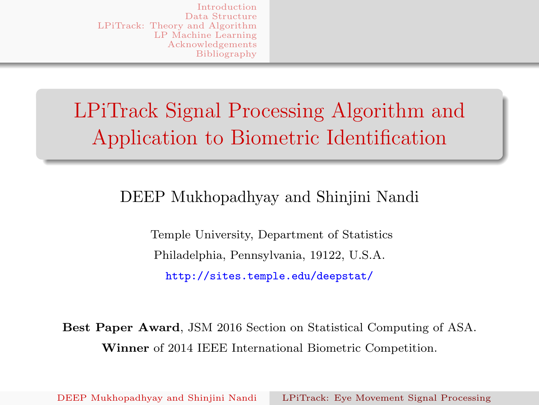# <span id="page-0-0"></span>LPiTrack Signal Processing Algorithm and Application to Biometric Identification

### DEEP Mukhopadhyay and Shinjini Nandi

Temple University, Department of Statistics Philadelphia, Pennsylvania, 19122, U.S.A. http://sites.temple.edu/deepstat/

Best [Paper Award](http://sites.temple.edu/deepstat/), JSM 2016 Section on Statistical Computing of ASA. Winner of 2014 IEEE International Biometric Competition.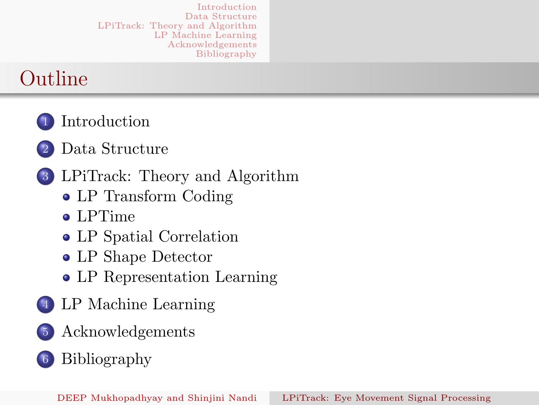# Outline

- 2 [Data Structure](#page-2-0)
- 3 [LPiTrack: Theo](#page-19-0)ry and Algorithm
	- LP Transform Coding
	- [LP](#page-2-0)Time
	- [LP S](#page-6-0)patial Correlation
	- [LP Shape Detec](#page-9-0)tor
	- [LP Repres](#page-9-0)entation Learning
- 4 [LP](#page-12-0)[Machine](#page-12-0) Learning
- 5 [Acknowledgemen](#page-14-0)ts
- 6 [Bibliogra](#page-19-0)phy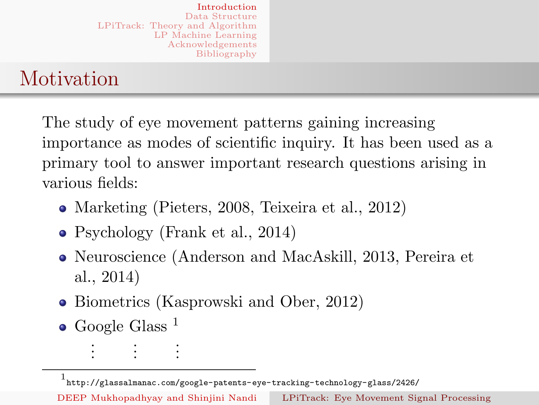# Motivation

<span id="page-2-0"></span>The study of eye movement patterns gaining increasing importance as modes of scientific inquiry. It has been used as a [primary](#page-6-0)[tool](#page-6-0)[to](#page-6-0)[an](#page-6-0)swer important research questions arising in [various fields:](#page-20-0)

- Marketing (Pieters, 2008, Teixeira et al., 2012)
- Psychology (Frank et al., 2014)
- Neuroscience (Anderson and MacAskill, 2013, Pereira et al., 2014)
- Biometrics (Kasprowski and Ober, 2012)
- Google Glass<sup>1</sup> . . . . . . .

. .<br>.<br>.

<sup>1</sup> [http://glassalmanac.com/google-patents-eye](http://glassalmanac.com/google-patents-eye-tracking-technology-glass/2426/)-tracking-technology-glass/2426/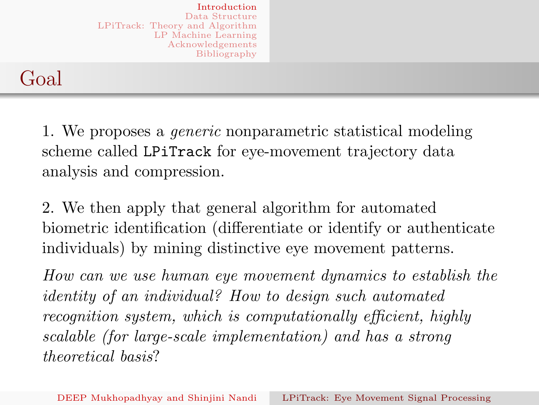### Goal

1. We proposes a generic nonparametric statistical modeling [scheme called](#page-2-0) LPiTrack for eye-movement trajectory data [analysis and comp](#page-15-0)ression.

2. We then apply that general algorithm for automated biometric identification (differentiate or identify or authenticate individuals) by mining distinctive eye movement patterns.

How can we use human eye movement dynamics to establish the identity of an individual? How to design such automated recognition system, which is computationally efficient, highly scalable (for large-scale implementation) and has a strong theoretical basis?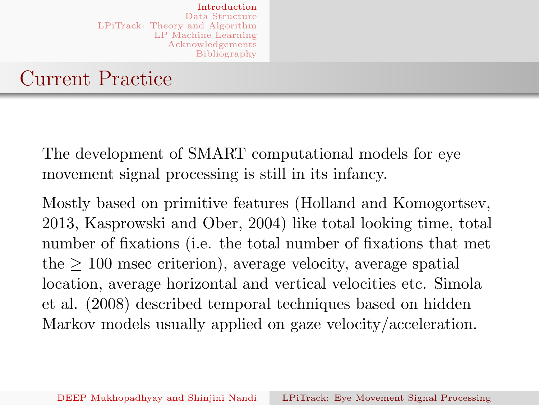### Current Practice

[The development o](#page-2-0)f SMART computational models for eye [movement signal p](#page-19-0)rocessing is still in its infancy.

Mostly based on primitive features (Holland and Komogortsev, 2013, Kasprowski and Ober, 2004) like total looking time, total number of fixations (i.e. the total number of fixations that met the  $> 100$  msec criterion), average velocity, average spatial location, average horizontal and vertical velocities etc. Simola et al. (2008) described temporal techniques based on hidden Markov models usually applied on gaze velocity/acceleration.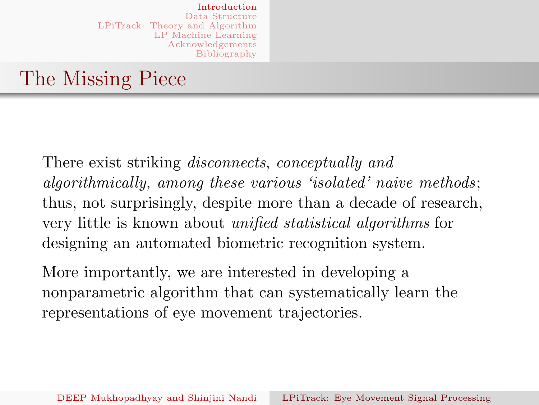### The Missing Piece

[There](#page-6-0)[exist](#page-6-0) [strikin](#page-6-0)g *disconnects*, *conceptually and* [algorithmically,](#page-19-0)[am](#page-19-0)ong these various 'isolated' naive methods; thus, not surprisingly, despite more than a decade of research, very little is known about unified statistical algorithms for designing an automated biometric recognition system.

More importantly, we are interested in developing a nonparametric algorithm that can systematically learn the representations of eye movement trajectories.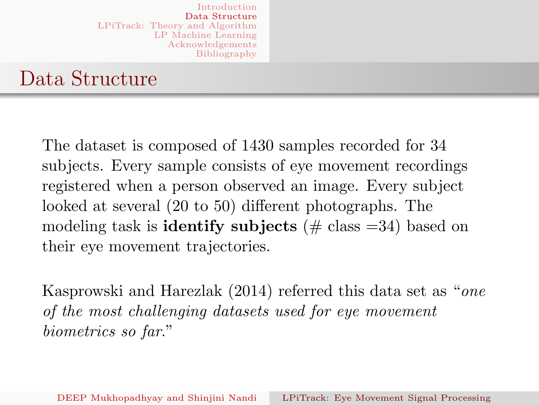### Data Structure

<span id="page-6-0"></span>[The dataset is com](#page-2-0)posed of 1430 samples recorded for 34 [subjects. Every sa](#page-9-0)mple consists of eye movement recordings [registered when a](#page-20-0) person observed an image. Every subject looked at several (20 to 50) different photographs. The modeling task is **identify subjects** ( $\#$  class  $=34$ ) based on their eye movement trajectories.

Kasprowski and Harezlak (2014) referred this data set as "one of the most challenging datasets used for eye movement biometrics so far."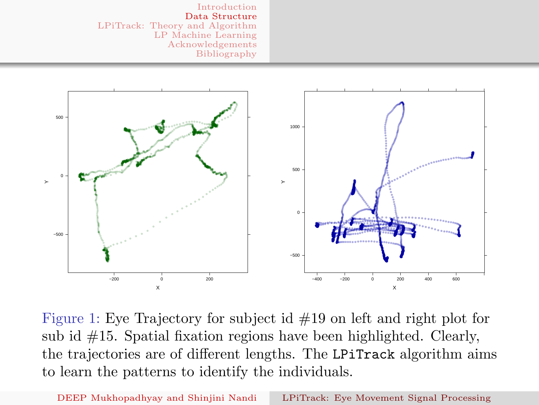

Figure 1: Eye Trajectory for subject id  $\#19$  on left and right plot for sub id  $#15$ . Spatial fixation regions have been highlighted. Clearly, the trajectories are of different lengths. The LPiTrack algorithm aims to learn the patterns to identify the individuals.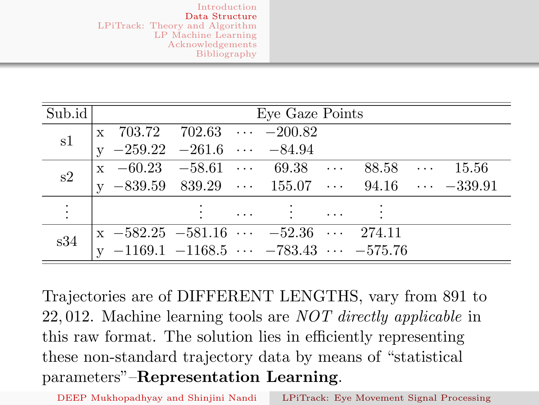| Sub.id    |                                                                  |          | Eye Gaze Points |          |  |  |
|-----------|------------------------------------------------------------------|----------|-----------------|----------|--|--|
| s1        | x 703.72 702.63 $\cdots$ -200.82                                 |          |                 |          |  |  |
|           | y $-259.22$ $-261.6$ $\cdots$ $-84.94$                           |          |                 |          |  |  |
| s2        | $x -60.23 -58.61 \cdots 69.38 \cdots 88.58 \cdots 15.56$         |          |                 |          |  |  |
|           | y -839.59 839.29 $\cdots$ 155.07 $\cdots$ 94.16 $\cdots$ -339.91 |          |                 |          |  |  |
| $\bullet$ |                                                                  | $\cdots$ |                 | $\cdots$ |  |  |
| s34       | $x -582.25 -581.16 \cdots -52.36 \cdots 274.11$                  |          |                 |          |  |  |
|           | y -1169.1 -1168.5 $\cdots$ -783.43 $\cdots$ -575.76              |          |                 |          |  |  |

Trajectories are of DIFFERENT LENGTHS, vary from 891 to 22, 012. Machine learning tools are NOT directly applicable in this raw format. The solution lies in efficiently representing these non-standard trajectory data by means of "statistical parameters"–Representation Learning.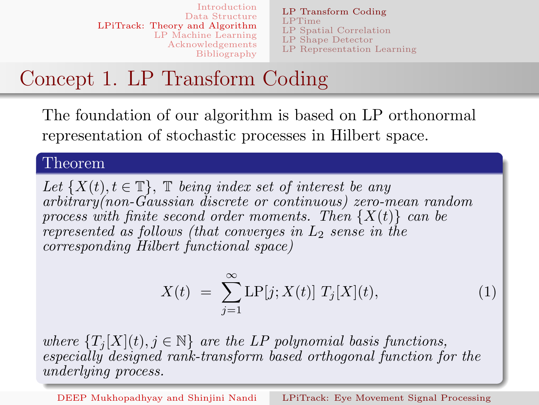LP Transform Coding LPTime LP Spatial Correlation LP Shape Detector LP Representation Learning

# Concept 1. LP Transform Coding

The foundation of our algorithm is based on LP orthonormal representation of stochastic processes in Hilbert space.

#### <span id="page-9-0"></span>[Theorem](#page-6-0)

[Let](#page-20-0)  $\{X(t), t \in \mathbb{T}\}\$  $\{X(t), t \in \mathbb{T}\}\$  $\{X(t), t \in \mathbb{T}\}\$ ,  $\mathbb T$  [being index set of interest](#page-14-0) be any arbitrary(non-Gaussian discrete or continuous) zero-mean random process with finite second order moments. Then  $\{X(t)\}$  can be represented as follows (that converges in  $L_2$  sense in the corresponding Hilbert functional space)

$$
X(t) = \sum_{j=1}^{\infty} LP[j; X(t)] T_j[X](t), \qquad (1)
$$

where  $\{T_i|X|(t), j \in \mathbb{N}\}\$  are the LP polynomial basis functions, especially designed rank-transform based orthogonal function for the underlying process.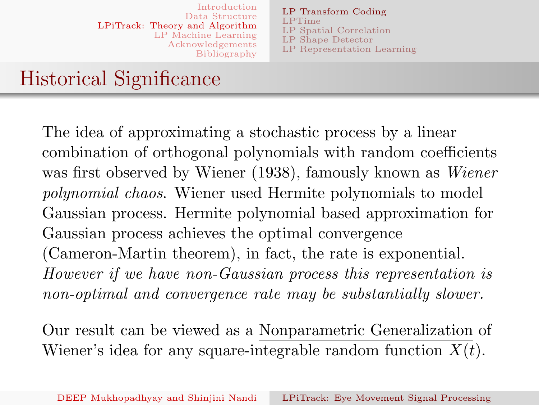LP Transform Coding LPTime LP Spatial Correlation LP Shape Detector LP Representation Learning

# Historical Significance

The idea of approximating a stochastic process by a linear [combination of or](#page-2-0)[thogonal polynomials wit](#page-9-0)h random coefficients [was](#page-15-0)[first](#page-15-0) [observed](#page-15-0) [by](#page-12-0) [Wiener](#page-12-0) [\(1938\),](#page-12-0) [famou](#page-12-0)sly known as *Wiener* [polynomial](#page-20-0) [chaos](#page-20-0). Wiener used Hermite polynomials to model Gaussian process. Hermite polynomial based approximation for Gaussian process achieves the optimal convergence (Cameron-Martin theorem), in fact, the rate is exponential. However if we have non-Gaussian process this representation is non-optimal and convergence rate may be substantially slower.

Our result can be viewed as a Nonparametric Generalization of Wiener's idea for any square-integrable random function  $X(t)$ .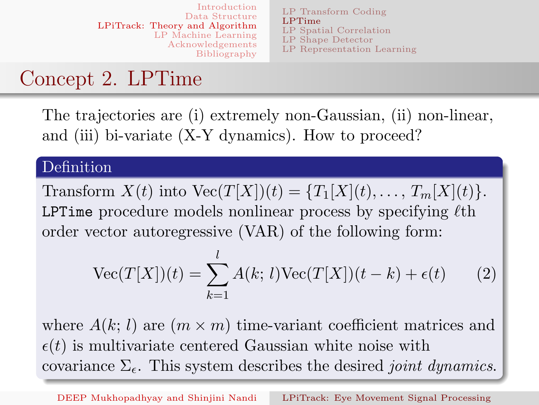LP Transform Coding LPTime LP Spatial Correlation LP Shape Detector LP Representation Learning

### Concept 2. LPTime

The trajectories are (i) extremely non-Gaussian, (ii) non-linear, and (iii) bi-variate (X-Y dynamics). How to proceed?

#### <span id="page-11-0"></span>[Definition](#page-9-0)

[Transform](#page-20-0)  $X(t)$  i[nto](#page-14-0)  $Vec(T[X])(t) = {T_1[X](t), \ldots, T_m[X](t)}.$  $Vec(T[X])(t) = {T_1[X](t), \ldots, T_m[X](t)}.$ LPTime procedure models nonlinear process by specifying  $\ell$ th order vector autoregressive (VAR) of the following form:

$$
\text{Vec}(T[X])(t) = \sum_{k=1}^{l} A(k; l)\text{Vec}(T[X])(t-k) + \epsilon(t) \qquad (2)
$$

where  $A(k; l)$  are  $(m \times m)$  time-variant coefficient matrices and  $\epsilon(t)$  is multivariate centered Gaussian white noise with covariance  $\Sigma_{\epsilon}$ . This system describes the desired *joint dynamics*.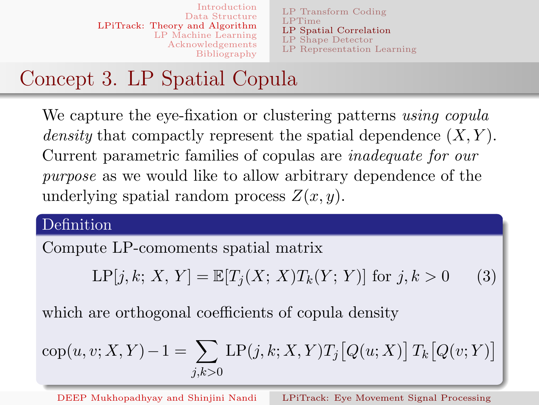LP Transform Coding LPTime LP Spatial Correlation LP Shape Detector LP Representation Learning

# Concept 3. LP Spatial Copula

<span id="page-12-0"></span>We capture the eye-fixation or clustering patterns using copula density that compactly represent the spatial dependence  $(X, Y)$ . [Current parametr](#page-6-0)[ic families of copulas are](#page-9-0) inadequate for our purpose [as we wo](#page-19-0)[uld](#page-13-0)[like](#page-13-0)[to](#page-13-0)[allow](#page-13-0)[arbitrary](#page-13-0) dependence of the underlying spatial random process  $Z(x, y)$ .

### Definition

Compute LP-comoments spatial matrix

$$
LP[j, k; X, Y] = \mathbb{E}[T_j(X; X)T_k(Y; Y)] \text{ for } j, k > 0 \quad (3)
$$

which are orthogonal coefficients of copula density

$$
cop(u, v; X, Y) - 1 = \sum_{j,k>0} LP(j,k; X, Y)T_j[Q(u; X)] T_k[Q(v; Y)]
$$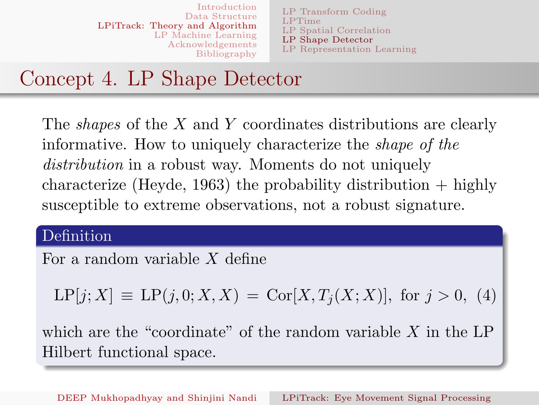LP Transform Coding LPTime LP Spatial Correlation LP Shape Detector LP Representation Learning

### Concept 4. LP Shape Detector

<span id="page-13-0"></span>The *shapes* of the X and Y coordinates distributions are clearly [informative. How](#page-2-0) to uniquely characterize the shape of the [distribution](#page-6-0) in a r[obust](#page-11-0)[way.](#page-11-0) [Moments](#page-11-0) [do](#page-11-0) not uniquely [characterize \(Hey](#page-20-0)[de, 1963\) the probability](#page-14-0) distribution  $+$  highly susceptible to extreme observations, not a robust signature.

#### Definition

For a random variable  $X$  define

 $\text{LP}[j; X] \equiv \text{LP}(j, 0; X, X) = \text{Cor}[X, T_j(X; X)], \text{ for } j > 0, (4)$ 

which are the "coordinate" of the random variable  $X$  in the LP Hilbert functional space.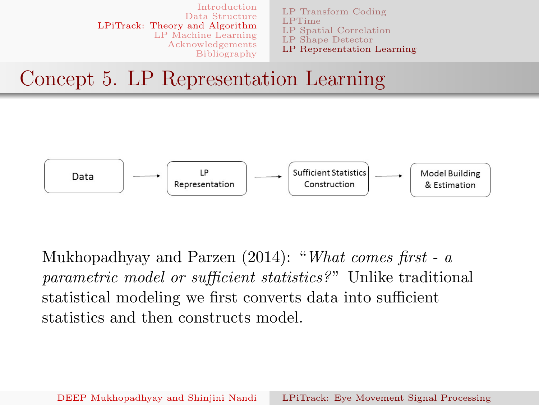LP Transform Coding LPTime LP Spatial Correlation LP Shape Detector LP Representation Learning

Concept 5. LP Representation Learning

<span id="page-14-0"></span>

Mukhopadhyay and Parzen (2014): "What comes first - a parametric model or sufficient statistics?" Unlike traditional statistical modeling we first converts data into sufficient statistics and then constructs model.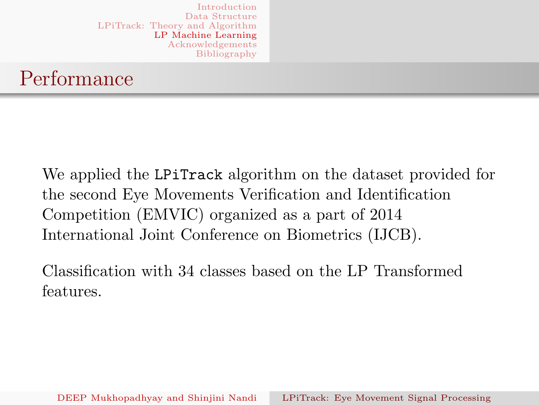### Performance

<span id="page-15-0"></span>[We applied the](#page-19-0) LPiTrack algorithm on the dataset provided for the second Eye Movements Verification and Identification Competition (EMVIC) organized as a part of 2014 International Joint Conference on Biometrics (IJCB).

Classification with 34 classes based on the LP Transformed features.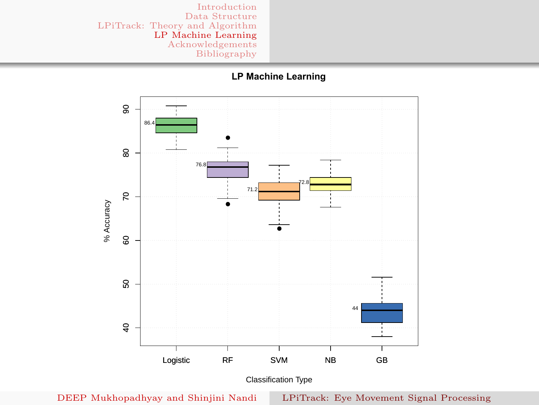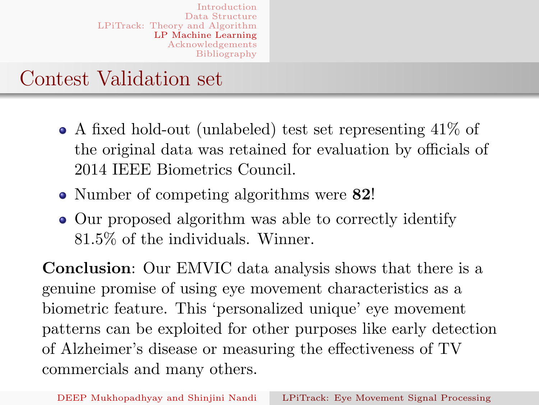### Contest Validation set

- A fixed hold-out (unlabeled) test set representing 41% of [the original da](#page-2-0)ta was retained for evaluation by officials of [2014](#page-9-0)[IEEE](#page-9-0)[Bi](#page-9-0)ometrics Council.
- [Number](#page-20-0) [of](#page-20-0) [co](#page-20-0)mpeting algorithms were 82!
- Our proposed algorithm was able to correctly identify 81.5% of the individuals. Winner.

Conclusion: Our EMVIC data analysis shows that there is a genuine promise of using eye movement characteristics as a biometric feature. This 'personalized unique' eye movement patterns can be exploited for other purposes like early detection of Alzheimer's disease or measuring the effectiveness of TV commercials and many others.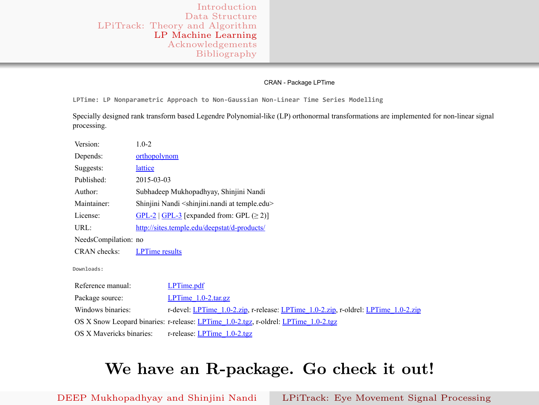#### CRAN - Package LPTime

LPTime: LP Nonparametric Approach to Non‐Gaussian Non‐Linear Time Series Modelling

Specially designed rank transform based Legendre Polynomial-like (LP) orthonormal transformations are implemented for non-linear signal processing.

| Version:                                                                            | $1.0 - 2$                                                                          |  |  |  |  |
|-------------------------------------------------------------------------------------|------------------------------------------------------------------------------------|--|--|--|--|
| Depends:                                                                            | orthopolynom                                                                       |  |  |  |  |
| Suggests:                                                                           | lattice                                                                            |  |  |  |  |
| Published:                                                                          | 2015-03-03                                                                         |  |  |  |  |
| Author:                                                                             | Subhadeep Mukhopadhyay, Shinjini Nandi                                             |  |  |  |  |
| Maintainer:                                                                         | Shinjini Nandi <shinjini.nandi at="" temple.edu=""></shinjini.nandi>               |  |  |  |  |
| License:                                                                            | GPL-2   GPL-3 [expanded from: GPL $(\geq 2)$ ]                                     |  |  |  |  |
| URL:                                                                                | http://sites.temple.edu/deepstat/d-products/                                       |  |  |  |  |
| NeedsCompilation: no                                                                |                                                                                    |  |  |  |  |
| CRAN checks:                                                                        | <b>LPTime</b> results                                                              |  |  |  |  |
| Downloads:                                                                          |                                                                                    |  |  |  |  |
| Reference manual:                                                                   | LPTime.pdf                                                                         |  |  |  |  |
| Package source:                                                                     | LPTime $1.0-2$ tar.gz                                                              |  |  |  |  |
| Windows binaries:                                                                   | r-devel: LPTime 1.0-2.zip, r-release: LPTime 1.0-2.zip, r-oldrel: LPTime 1.0-2.zip |  |  |  |  |
| OS X Snow Leopard binaries: r-release: LPTime 1.0-2.tgz, r-oldrel: LPTime 1.0-2.tgz |                                                                                    |  |  |  |  |
| OS X Mavericks binaries:                                                            | r-release: $LPTime$ 1.0-2.tgz                                                      |  |  |  |  |

#### We have an R-package. Go check it out!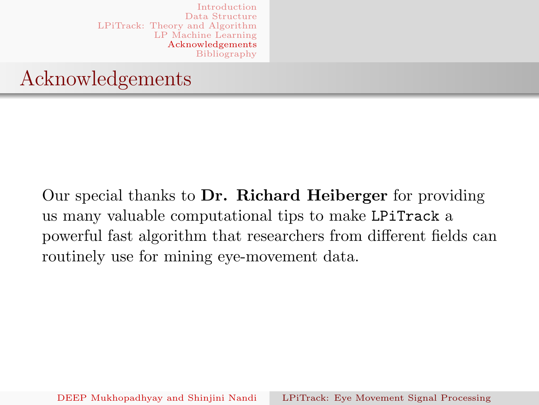### Acknowledgements

<span id="page-19-0"></span>[Our](#page-20-0) [special](#page-20-0) [thanks](#page-20-0) to Dr. Richard Heiberger for providing us many valuable computational tips to make LPiTrack a powerful fast algorithm that researchers from different fields can routinely use for mining eye-movement data.